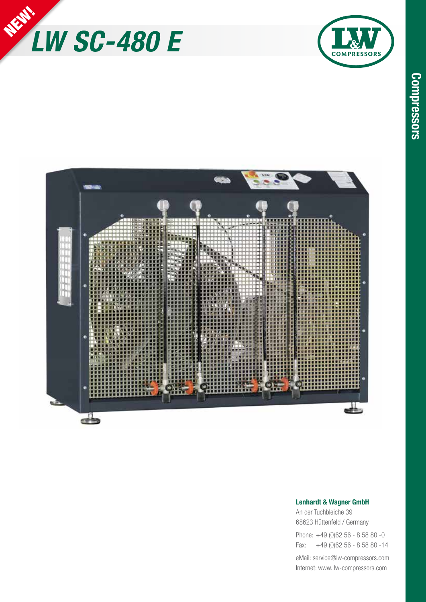

2





## **Lenhardt & Wagner GmbH**

An der Tuchbleiche 39 68623 Hüttenfeld / Germany

Phone: +49 (0)62 56 - 8 58 80 -0 Fax: +49 (0)62 56 - 8 58 80 -14

eMail: service@lw-compressors.com Internet: www. lw-compressors.com